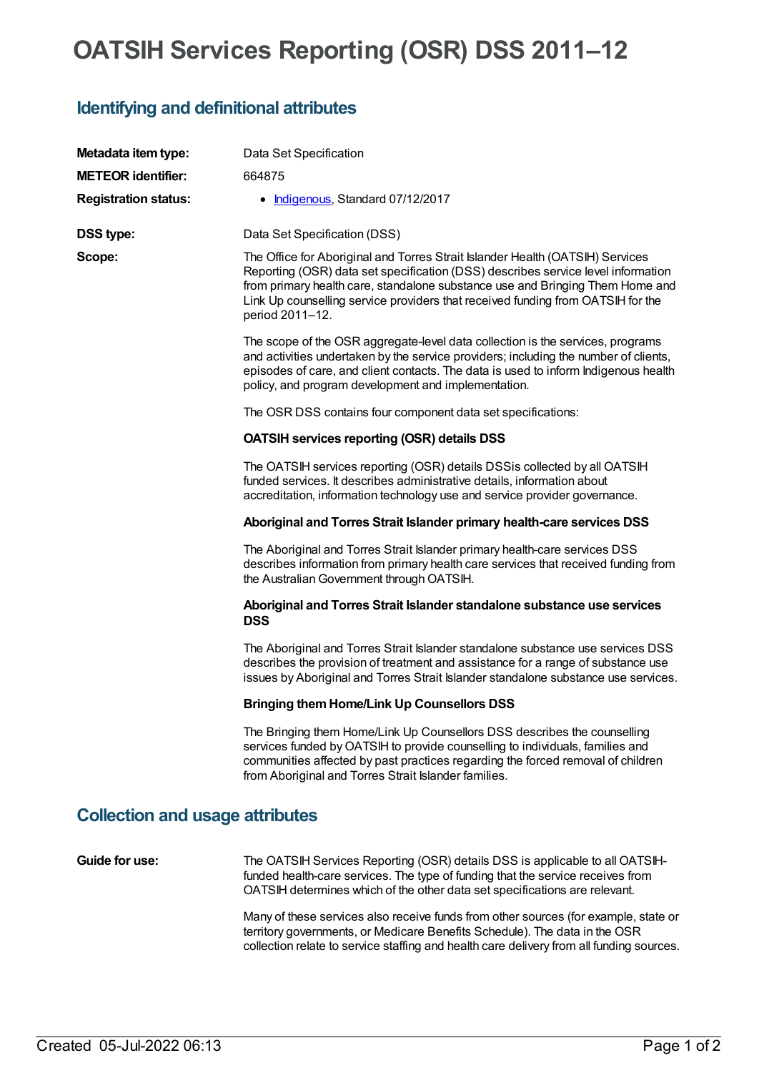# **OATSIH Services Reporting (OSR) DSS 2011–12**

#### **Identifying and definitional attributes**

| Metadata item type:                    | Data Set Specification                                                                                                                                                                                                                                                                                                                                   |
|----------------------------------------|----------------------------------------------------------------------------------------------------------------------------------------------------------------------------------------------------------------------------------------------------------------------------------------------------------------------------------------------------------|
| <b>METEOR identifier:</b>              | 664875                                                                                                                                                                                                                                                                                                                                                   |
| <b>Registration status:</b>            | • Indigenous, Standard 07/12/2017                                                                                                                                                                                                                                                                                                                        |
| <b>DSS type:</b>                       | Data Set Specification (DSS)                                                                                                                                                                                                                                                                                                                             |
| Scope:                                 | The Office for Aboriginal and Torres Strait Islander Health (OATSIH) Services<br>Reporting (OSR) data set specification (DSS) describes service level information<br>from primary health care, standalone substance use and Bringing Them Home and<br>Link Up counselling service providers that received funding from OATSIH for the<br>period 2011-12. |
|                                        | The scope of the OSR aggregate-level data collection is the services, programs<br>and activities undertaken by the service providers; including the number of clients,<br>episodes of care, and client contacts. The data is used to inform Indigenous health<br>policy, and program development and implementation.                                     |
|                                        | The OSR DSS contains four component data set specifications:                                                                                                                                                                                                                                                                                             |
|                                        | <b>OATSIH services reporting (OSR) details DSS</b>                                                                                                                                                                                                                                                                                                       |
|                                        | The OATSIH services reporting (OSR) details DSSis collected by all OATSIH<br>funded services. It describes administrative details, information about<br>accreditation, information technology use and service provider governance.                                                                                                                       |
|                                        | Aboriginal and Torres Strait Islander primary health-care services DSS                                                                                                                                                                                                                                                                                   |
|                                        | The Aboriginal and Torres Strait Islander primary health-care services DSS<br>describes information from primary health care services that received funding from<br>the Australian Government through OATSIH.                                                                                                                                            |
|                                        | Aboriginal and Torres Strait Islander standalone substance use services<br><b>DSS</b>                                                                                                                                                                                                                                                                    |
|                                        | The Aboriginal and Torres Strait Islander standalone substance use services DSS<br>describes the provision of treatment and assistance for a range of substance use<br>issues by Aboriginal and Torres Strait Islander standalone substance use services.                                                                                                |
|                                        | <b>Bringing them Home/Link Up Counsellors DSS</b>                                                                                                                                                                                                                                                                                                        |
|                                        | The Bringing them Home/Link Up Counsellors DSS describes the counselling<br>services funded by OATSIH to provide counselling to individuals, families and<br>communities affected by past practices regarding the forced removal of children<br>from Aboriginal and Torres Strait Islander families.                                                     |
| <b>Collection and usage attributes</b> |                                                                                                                                                                                                                                                                                                                                                          |

**Guide for use:** The OATSIH Services Reporting (OSR) details DSS is applicable to all OATSIHfunded health-care services. The type of funding that the service receives from OATSIH determines which of the other data set specifications are relevant.

> Many of these services also receive funds from other sources (for example, state or territory governments, or Medicare Benefits Schedule). The data in the OSR collection relate to service staffing and health care delivery from all funding sources.